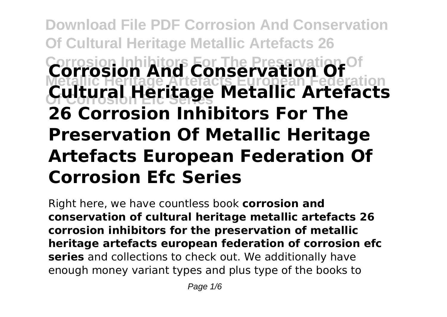# **Download File PDF Corrosion And Conservation Of Cultural Heritage Metallic Artefacts 26 Corrosion And Conservation Of Metallic Heritage Artefacts European Federation Of Corrosion Efc Series Cultural Heritage Metallic Artefacts 26 Corrosion Inhibitors For The Preservation Of Metallic Heritage Artefacts European Federation Of Corrosion Efc Series**

Right here, we have countless book **corrosion and conservation of cultural heritage metallic artefacts 26 corrosion inhibitors for the preservation of metallic heritage artefacts european federation of corrosion efc series** and collections to check out. We additionally have enough money variant types and plus type of the books to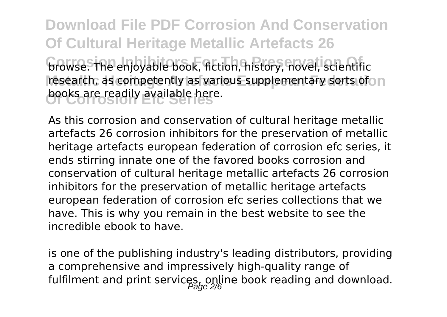**Download File PDF Corrosion And Conservation Of Cultural Heritage Metallic Artefacts 26 browse.** The enjoyable book, fiction, history, novel, scientific research, as competently as various supplementary sorts ofo n books are readily available here.

As this corrosion and conservation of cultural heritage metallic artefacts 26 corrosion inhibitors for the preservation of metallic heritage artefacts european federation of corrosion efc series, it ends stirring innate one of the favored books corrosion and conservation of cultural heritage metallic artefacts 26 corrosion inhibitors for the preservation of metallic heritage artefacts european federation of corrosion efc series collections that we have. This is why you remain in the best website to see the incredible ebook to have.

is one of the publishing industry's leading distributors, providing a comprehensive and impressively high-quality range of fulfilment and print services, online book reading and download.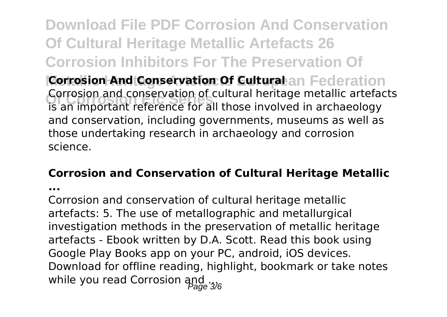**Download File PDF Corrosion And Conservation Of Cultural Heritage Metallic Artefacts 26 Corrosion Inhibitors For The Preservation Of Corrosion And Conservation Of Cultural**an Federation **Of Corrosion Efc Series** is an important reference for all those involved in archaeology Corrosion and conservation of cultural heritage metallic artefacts and conservation, including governments, museums as well as those undertaking research in archaeology and corrosion

science.

#### **Corrosion and Conservation of Cultural Heritage Metallic**

**...**

Corrosion and conservation of cultural heritage metallic artefacts: 5. The use of metallographic and metallurgical investigation methods in the preservation of metallic heritage artefacts - Ebook written by D.A. Scott. Read this book using Google Play Books app on your PC, android, iOS devices. Download for offline reading, highlight, bookmark or take notes while you read Corrosion  $\frac{d}{d}$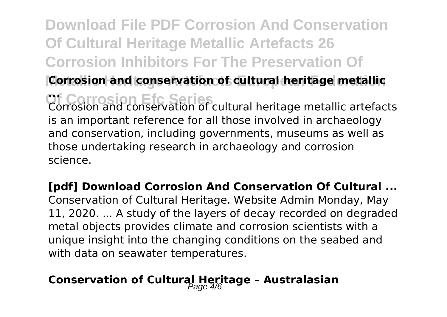# **Download File PDF Corrosion And Conservation Of Cultural Heritage Metallic Artefacts 26 Corrosion Inhibitors For The Preservation Of**

**Corrosion and conservation of cultural heritage metallic** 

**Of Corrosion Efc Series ...** Corrosion and conservation of cultural heritage metallic artefacts is an important reference for all those involved in archaeology and conservation, including governments, museums as well as those undertaking research in archaeology and corrosion science.

**[pdf] Download Corrosion And Conservation Of Cultural ...** Conservation of Cultural Heritage. Website Admin Monday, May 11, 2020. ... A study of the layers of decay recorded on degraded metal objects provides climate and corrosion scientists with a unique insight into the changing conditions on the seabed and with data on seawater temperatures.

### Conservation of Cultural Heritage - Australasian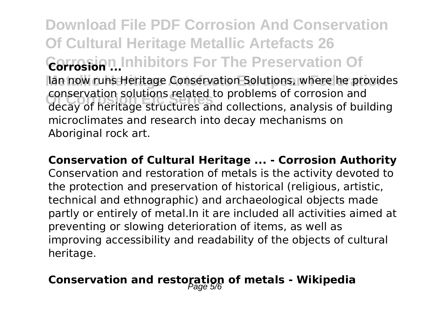**Download File PDF Corrosion And Conservation Of Cultural Heritage Metallic Artefacts 26 Corrosion Inhibitors For The Preservation Of Corrosion ... Metallic Heritage Artefacts European Federation** Ian now runs Heritage Conservation Solutions, where he provides **Of Corrosion Efc Series** decay of heritage structures and collections, analysis of building conservation solutions related to problems of corrosion and microclimates and research into decay mechanisms on Aboriginal rock art.

**Conservation of Cultural Heritage ... - Corrosion Authority** Conservation and restoration of metals is the activity devoted to the protection and preservation of historical (religious, artistic, technical and ethnographic) and archaeological objects made partly or entirely of metal.In it are included all activities aimed at preventing or slowing deterioration of items, as well as improving accessibility and readability of the objects of cultural heritage.

#### Conservation and restoration of metals - Wikipedia